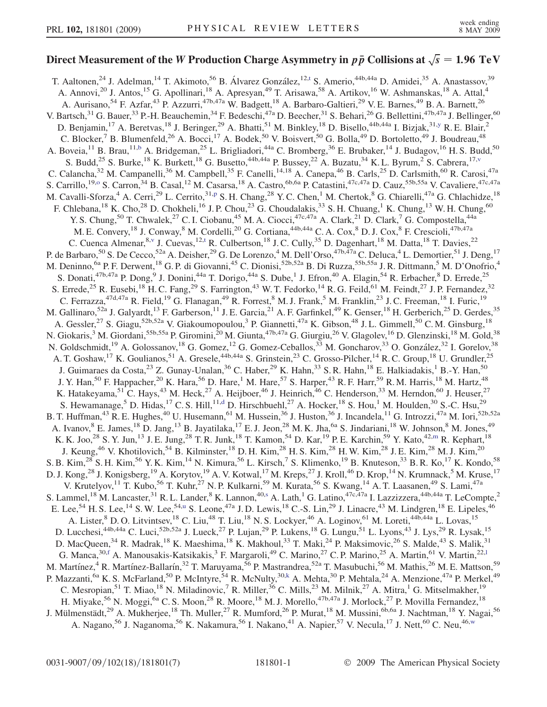## Direct Measurement of the W Production Charge Asymmetry in  $p \, \bar{p}$  Collisions at  $\sqrt{s} = 1.96 \,\, \mathrm{TeV}$

T. Aal[t](#page-6-0)onen,<sup>24</sup> J. Adelman,<sup>14</sup> T. Akimoto,<sup>56</sup> B. Álvarez González,<sup>12,t</sup> S. Amerio,<sup>44b,44a</sup> D. Amidei,<sup>35</sup> A. Anastassov,<sup>39</sup> A. Annovi,<sup>20</sup> J. Antos,<sup>15</sup> G. Apollinari,<sup>18</sup> A. Apresyan,<sup>49</sup> T. Arisawa,<sup>58</sup> A. Artikov,<sup>16</sup> W. Ashmanskas,<sup>18</sup> A. Attal,<sup>4</sup> A. Aurisano,<sup>54</sup> F. Azfar,<sup>43</sup> P. Azzurri,<sup>47b,47a</sup> W. Badgett,<sup>18</sup> A. Barbaro-Galtieri,<sup>29</sup> V. E. Barnes,<sup>49</sup> B. A. Barnett,<sup>26</sup> V. Bartsch,<sup>31</sup> G. Bauer,<sup>33</sup> P.-H. Beauchemin,<sup>34</sup> F. Bedeschi,<sup>47a</sup> D. Beecher,<sup>31</sup> S. Behari,<sup>26</sup> G. Bellettini,<sup>47b,47a</sup> J. Bellinger,<sup>60</sup> D. Benjamin,<sup>17</sup> A. Beretvas,<sup>18</sup> J. Beringer,<sup>29</sup> A. Bhatti,<sup>51</sup> M. Binkley,<sup>18</sup> D. Bisello,<sup>44b,44a</sup> I. Bizjak,<sup>31[,y](#page-6-0)</sup> R. E. Blair,<sup>2</sup> C. Blocker,<sup>7</sup> B. Blumenfeld,<sup>26</sup> A. Bocci,<sup>17</sup> A. Bodek,<sup>50</sup> V. Boisvert,<sup>50</sup> G. Bolla,<sup>49</sup> D. Bortoletto,<sup>49</sup> J. Boudreau,<sup>48</sup> A. Boveia,<sup>11</sup> B. Brau,<sup>11[,b](#page-6-0)</sup> A. Bridgeman,<sup>25</sup> L. Brigliadori,<sup>44a</sup> C. Bromberg,<sup>36</sup> E. Brubaker,<sup>14</sup> J. Budagov,<sup>16</sup> H. S. Budd,<sup>50</sup> S. Budd,<sup>25</sup> S. Burke,<sup>18</sup> K. Burkett,<sup>18</sup> G. Busetto,<sup>44b,44a</sup> P. Bussey,<sup>22</sup> A. Buzatu,<sup>34</sup> K. L. Byrum,<sup>2</sup> S. Cabrera,<sup>17,[v](#page-6-0)</sup> C. Calancha,<sup>32</sup> M. Campanelli,<sup>36</sup> M. Campbell,<sup>35</sup> F. Canelli,<sup>14,18</sup> A. Canepa,<sup>46</sup> B. Carls,<sup>25</sup> D. Carlsmith,<sup>60</sup> R. Carosi,<sup>47a</sup> S. Carrillo,<sup>19[,o](#page-6-0)</sup> S. Carron,<sup>34</sup> B. Casal,<sup>12</sup> M. Casarsa,<sup>18</sup> A. Castro,<sup>6b,6a</sup> P. Catastini,<sup>47c,47a</sup> D. Cauz,<sup>55b,55a</sup> V. Cavaliere,<sup>47c,47a</sup> M. Cavalli-Sforza,<sup>4</sup> A. Cerri,<sup>29</sup> L. Cerrito,<sup>31[,p](#page-6-0)</sup> S. H. Chang,<sup>28</sup> Y. C. Chen,<sup>1</sup> M. Chertok,<sup>8</sup> G. Chiarelli,<sup>47a</sup> G. Chlachidze,<sup>18</sup> F. Chlebana,<sup>18</sup> K. Cho,<sup>28</sup> D. Chokheli,<sup>16</sup> J. P. Chou,<sup>23</sup> G. Choudalakis,<sup>33</sup> S. H. Chuang,<sup>1</sup> K. Chung,<sup>13</sup> W. H. Chung,<sup>60</sup> Y. S. Chung,<sup>50</sup> T. Chwalek,<sup>27</sup> C. I. Ciobanu,<sup>45</sup> M. A. Ciocci,<sup>47c,47a</sup> A. Clark,<sup>21</sup> D. Clark,<sup>7</sup> G. Compostella,<sup>44a</sup> M. E. Convery,<sup>18</sup> J. Conway,<sup>8</sup> M. Cordelli,<sup>20</sup> G. Cortiana,<sup>44b,44a</sup> C. A. Cox,<sup>8</sup> D. J. Cox,<sup>8</sup> F. Crescioli,<sup>47b,47a</sup> C. Cuenca Almenar, <sup>8, [v](#page-6-0)</sup> J. Cuevas, <sup>12[,t](#page-6-0)</sup> R. Culbertson, <sup>18</sup> J.C. Cully, <sup>35</sup> D. Dagenhart, <sup>18</sup> M. Datta, <sup>18</sup> T. Davies, <sup>22</sup> P. de Barbaro,<sup>50</sup> S. De Cecco,<sup>52a</sup> A. Deisher,<sup>29</sup> G. De Lorenzo,<sup>4</sup> M. Dell'Orso,<sup>47b,47a</sup> C. Deluca,<sup>4</sup> L. Demortier,<sup>51</sup> J. Deng,<sup>17</sup> M. Deninno, <sup>6a</sup> P. F. Derwent, <sup>18</sup> G. P. di Giovanni, <sup>45</sup> C. Dionisi, <sup>52b, 52a</sup> B. Di Ruzza, <sup>55b, 55a</sup> J. R. Dittmann, <sup>5</sup> M. D'Onofrio, <sup>4</sup> S. Donati,<sup>47b,47a</sup> P. Dong,<sup>9</sup> J. Donini,<sup>44a</sup> T. Dorigo,<sup>44a</sup> S. Dube,<sup>1</sup> J. Efron,<sup>40</sup> A. Elagin,<sup>54</sup> R. Erbacher,<sup>8</sup> D. Errede,<sup>25</sup> S. Errede,<sup>25</sup> R. Eusebi,<sup>18</sup> H. C. Fang,<sup>29</sup> S. Farrington,<sup>43</sup> W. T. Fedorko,<sup>14</sup> R. G. Feild,<sup>61</sup> M. Feindt,<sup>27</sup> J. P. Fernandez,<sup>32</sup> C. Ferrazza,  $47d,47a$  R. Field,  $19$  G. Flanagan,  $49$  R. Forrest,  $8$  M. J. Frank,  $5$  M. Franklin,  $23$  J. C. Freeman,  $18$  I. Furic,  $19$ M. Gallinaro,<sup>52a</sup> J. Galyardt,<sup>13</sup> F. Garberson,<sup>11</sup> J. E. Garcia,<sup>21</sup> A. F. Garfinkel,<sup>49</sup> K. Genser,<sup>18</sup> H. Gerberich,<sup>25</sup> D. Gerdes,<sup>35</sup> A. Gessler,<sup>27</sup> S. Giagu,<sup>52b,52a</sup> V. Giakoumopoulou,<sup>3</sup> P. Giannetti,<sup>47a</sup> K. Gibson,<sup>48</sup> J. L. Gimmell,<sup>50</sup> C. M. Ginsburg,<sup>18</sup> N. Giokaris,<sup>3</sup> M. Giordani,<sup>55b,55a</sup> P. Giromini,<sup>20</sup> M. Giunta,<sup>47b,47a</sup> G. Giurgiu,<sup>26</sup> V. Glagolev,<sup>16</sup> D. Glenzinski,<sup>18</sup> M. Gold,<sup>38</sup> N. Goldschmidt,<sup>19</sup> A. Golossanov,<sup>18</sup> G. Gomez,<sup>12</sup> G. Gomez-Ceballos,<sup>33</sup> M. Goncharov,<sup>33</sup> O. González,<sup>32</sup> I. Gorelov,<sup>38</sup> A. T. Goshaw,<sup>17</sup> K. Goulianos,<sup>51</sup> A. Gresele,<sup>44b,44a</sup> S. Grinstein,<sup>23</sup> C. Grosso-Pilcher,<sup>14</sup> R. C. Group,<sup>18</sup> U. Grundler,<sup>25</sup> J. Guimaraes da Costa,<sup>23</sup> Z. Gunay-Unalan,<sup>36</sup> C. Haber,<sup>29</sup> K. Hahn,<sup>33</sup> S. R. Hahn,<sup>18</sup> E. Halkiadakis,<sup>1</sup> B.-Y. Han,<sup>50</sup> J. Y. Han,<sup>50</sup> F. Happacher,<sup>20</sup> K. Hara,<sup>56</sup> D. Hare,<sup>1</sup> M. Hare,<sup>57</sup> S. Harper,<sup>43</sup> R. F. Harr,<sup>59</sup> R. M. Harris,<sup>18</sup> M. Hartz,<sup>48</sup> K. Hatakeyama,<sup>51</sup> C. Hays,<sup>43</sup> M. Heck,<sup>27</sup> A. Heijboer,<sup>46</sup> J. Heinrich,<sup>46</sup> C. Henderson,<sup>33</sup> M. Herndon,<sup>60</sup> J. Heuser,<sup>27</sup> S. Hewamanage,<sup>5</sup> D. Hi[d](#page-6-0)as,<sup>17</sup> C. S. Hill,<sup>11,d</sup> D. Hirschbuehl,<sup>27</sup> A. Hocker,<sup>18</sup> S. Hou,<sup>1</sup> M. Houlden,<sup>30</sup> S.-C. Hsu,<sup>29</sup> B. T. Huffman,<sup>43</sup> R. E. Hughes,<sup>40</sup> U. Husemann,<sup>61</sup> M. Hussein,<sup>36</sup> J. Huston,<sup>36</sup> J. Incandela,<sup>11</sup> G. Introzzi,<sup>47a</sup> M. Iori,<sup>52b,52a</sup> A. Ivanov, <sup>8</sup> E. James, <sup>18</sup> D. Jang, <sup>13</sup> B. Jayatilaka, <sup>17</sup> E. J. Jeon, <sup>28</sup> M. K. Jha, <sup>6a</sup> S. Jindariani, <sup>18</sup> W. Johnson, <sup>8</sup> M. Jones, <sup>49</sup> K. K. Joo,<sup>28</sup> S. Y. Jun,<sup>13</sup> J. E. Jung,<sup>28</sup> T. R. Junk,<sup>18</sup> T. Ka[m](#page-6-0)on,<sup>54</sup> D. Kar,<sup>19</sup> P. E. Karchin,<sup>59</sup> Y. Kato,<sup>42,m</sup> R. Kephart,<sup>18</sup> J. Keung,<sup>46</sup> V. Khotilovich,<sup>54</sup> B. Kilminster,<sup>18</sup> D. H. Kim,<sup>28</sup> H. S. Kim,<sup>28</sup> H. W. Kim,<sup>28</sup> J. E. Kim,<sup>28</sup> M. J. Kim,<sup>20</sup> S. B. Kim,<sup>28</sup> S. H. Kim,<sup>56</sup> Y. K. Kim,<sup>14</sup> N. Kimura,<sup>56</sup> L. Kirsch,<sup>7</sup> S. Klimenko,<sup>19</sup> B. Knuteson,<sup>33</sup> B. R. Ko,<sup>17</sup> K. Kondo,<sup>58</sup> D. J. Kong,<sup>28</sup> J. Konigsberg,<sup>19</sup> A. Korytov,<sup>19</sup> A. V. Kotwal,<sup>17</sup> M. Kreps,<sup>27</sup> J. Kroll,<sup>46</sup> D. Krop,<sup>14</sup> N. Krumnack,<sup>5</sup> M. Kruse,<sup>17</sup> V. Krutelyov,<sup>11</sup> T. Kubo,<sup>56</sup> T. Kuhr,<sup>27</sup> N. P. Kulkarni,<sup>59</sup> M. Kurata,<sup>56</sup> S. Kwang,<sup>14</sup> A. T. Laasanen,<sup>49</sup> S. Lami,<sup>47a</sup> S. Lammel,<sup>18</sup> M. Lancaster,<sup>31</sup> R. L. Lander,<sup>8</sup> K. Lannon,<sup>40[,s](#page-6-0)</sup> A. Lath,<sup>1</sup> G. Latino,<sup>47c,47a</sup> I. Lazzizzera,<sup>44b,44a</sup> T. LeCompte,<sup>2</sup> E. Lee,<sup>54</sup> H. S. Lee,<sup>14</sup> S. W. Lee,<sup>54[,u](#page-6-0)</sup> S. Leone,<sup>47a</sup> J. D. Lewis,<sup>18</sup> C.-S. Lin,<sup>29</sup> J. Linacre,<sup>43</sup> M. Lindgren,<sup>18</sup> E. Lipeles,<sup>46</sup> A. Lister, <sup>8</sup> D. O. Litvintsev, <sup>18</sup> C. Liu, <sup>48</sup> T. Liu, <sup>18</sup> N. S. Lockyer, <sup>46</sup> A. Loginov, <sup>61</sup> M. Loreti, <sup>44b, 44a</sup> L. Lovas, <sup>15</sup> D. Lucchesi,<sup>44b,44a</sup> C. Luci,<sup>52b,52a</sup> J. Lueck,<sup>27</sup> P. Lujan,<sup>29</sup> P. Lukens,<sup>18</sup> G. Lungu,<sup>51</sup> L. Lyons,<sup>43</sup> J. Lys,<sup>29</sup> R. Lysak,<sup>15</sup> D. MacQueen,<sup>34</sup> R. Madrak,<sup>18</sup> K. Maeshima,<sup>18</sup> K. Makhoul,<sup>33</sup> T. Maki,<sup>24</sup> P. Maksimovic,<sup>26</sup> S. Malde,<sup>43</sup> S. Malik,<sup>31</sup> G. Manca,<sup>30[,f](#page-6-0)</sup> A. Manousakis-Katsikakis,<sup>3</sup> F. Margaro[l](#page-6-0)i,<sup>49</sup> C. Marino,<sup>27</sup> C. P. Marino,<sup>25</sup> A. Martin,<sup>61</sup> V. Martin,<sup>22,1</sup> M. Martínez,<sup>4</sup> R. Martínez-Ballarín,<sup>32</sup> T. Maruyama,<sup>56</sup> P. Mastrandrea,<sup>52a</sup> T. Masubuchi,<sup>56</sup> M. Mathis,<sup>26</sup> M. E. Mattson,<sup>59</sup> P. Mazzanti,<sup>6a</sup> K. S. McFarland,<sup>50</sup> P. McIntyre,<sup>54</sup> R. McNulty,<sup>30[,k](#page-6-0)</sup> A. Mehta,<sup>30</sup> P. Mehtala,<sup>24</sup> A. Menzione,<sup>47a</sup> P. Merkel,<sup>49</sup> C. Mesropian,<sup>51</sup> T. Miao,<sup>18</sup> N. Miladinovic,<sup>7</sup> R. Miller,<sup>36</sup> C. Mills,<sup>23</sup> M. Milnik,<sup>27</sup> A. Mitra,<sup>1</sup> G. Mitselmakher,<sup>19</sup> H. Miyake,<sup>56</sup> N. Moggi,<sup>6a</sup> C. S. Moon,<sup>28</sup> R. Moore,<sup>18</sup> M. J. Morello,<sup>47b,47a</sup> J. Morlock,<sup>27</sup> P. Movilla Fernandez,<sup>18</sup> J. Mülmenstädt,<sup>29</sup> A. Mukherjee,<sup>18</sup> Th. Muller,<sup>27</sup> R. Mumford,<sup>26</sup> P. Murat,<sup>18</sup> M. Mussini,<sup>6b,6a</sup> J. Nachtman,<sup>18</sup> Y. Nagai,<sup>56</sup> A. Nagano,<sup>56</sup> J. Naganoma,<sup>56</sup> K. Nakamura,<sup>56</sup> I. Nakano,<sup>41</sup> A. Napier,<sup>57</sup> V. Necula,<sup>17</sup> J. Nett,<sup>60</sup> C. Neu,<sup>46,[w](#page-6-0)</sup>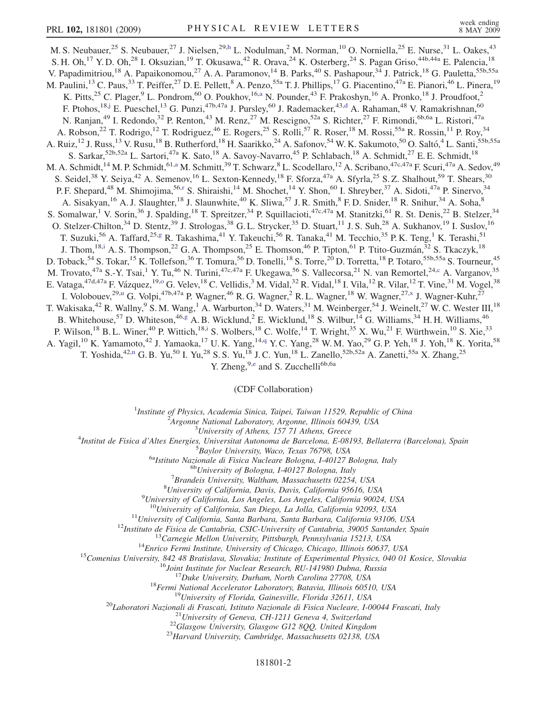M. S. Neubauer,<sup>25</sup> S. Neubauer,<sup>27</sup> J. Nielsen,<sup>29,[h](#page-6-0)</sup> L. Nodulman,<sup>2</sup> M. Norman,<sup>10</sup> O. Norniella,<sup>25</sup> E. Nurse,<sup>31</sup> L. Oakes,<sup>43</sup> S. H. Oh,<sup>17</sup> Y. D. Oh,<sup>28</sup> I. Oksuzian,<sup>19</sup> T. Okusawa,<sup>42</sup> R. Orava,<sup>24</sup> K. Osterberg,<sup>24</sup> S. Pagan Griso,<sup>44b,44a</sup> E. Palencia,<sup>18</sup> V. Papadimitriou,<sup>18</sup> A. Papaikonomou,<sup>27</sup> A. A. Paramonov,<sup>14</sup> B. Parks,<sup>40</sup> S. Pashapour,<sup>34</sup> J. Patrick,<sup>18</sup> G. Pauletta,<sup>55b,55a</sup> M. Paulini,<sup>13</sup> C. Paus,<sup>33</sup> T. Peiffer,<sup>27</sup> D. E. Pellett,<sup>8</sup> A. Penzo,<sup>55a</sup> T. J. Phillips,<sup>17</sup> G. Piacentino,<sup>47a</sup> E. Pianori,<sup>46</sup> L. Pinera,<sup>19</sup> K. Pitts,<sup>25</sup> C. Plager,<sup>9</sup> L. Pondrom,<sup>60</sup> O. Poukhov,<sup>16[,a](#page-6-0)</sup> N. Pounder,<sup>43</sup> F. Prakoshyn,<sup>16</sup> A. Pronko,<sup>18</sup> J. Proudfoot,<sup>2</sup> F. Ptohos,<sup>18,[j](#page-6-0)</sup> E. Pueschel,<sup>13</sup> G. Punzi,<sup>47b,47a</sup> J. Pursley,<sup>60</sup> J. Ra[d](#page-6-0)emacker,<sup>43,d</sup> A. Rahaman,<sup>48</sup> V. Ramakrishnan,<sup>60</sup> N. Ranjan,<sup>49</sup> I. Redondo,<sup>32</sup> P. Renton,<sup>43</sup> M. Renz,<sup>27</sup> M. Rescigno,<sup>52a</sup> S. Richter,<sup>27</sup> F. Rimondi,<sup>6b,6a</sup> L. Ristori,<sup>47a</sup> A. Robson,<sup>22</sup> T. Rodrigo,<sup>12</sup> T. Rodriguez,<sup>46</sup> E. Rogers,<sup>25</sup> S. Rolli,<sup>57</sup> R. Roser,<sup>18</sup> M. Rossi,<sup>55a</sup> R. Rossin,<sup>11</sup> P. Roy,<sup>34</sup> A. Ruiz,<sup>12</sup> J. Russ,<sup>13</sup> V. Rusu,<sup>18</sup> B. Rutherford,<sup>18</sup> H. Saarikko,<sup>24</sup> A. Safonov,<sup>54</sup> W. K. Sakumoto,<sup>50</sup> O. Saltó,<sup>4</sup> L. Santi,<sup>55b,55a</sup> S. Sarkar,<sup>52b,52a</sup> L. Sartori,<sup>47a</sup> K. Sato,<sup>18</sup> A. Savoy-Navarro,<sup>45</sup> P. Schlabach,<sup>18</sup> A. Schmidt,<sup>27</sup> E. E. Schmidt,<sup>18</sup> M. A. Schmidt,<sup>14</sup> M. P. Schmidt,<sup>61,[a](#page-6-0)</sup> M. Schmitt,<sup>39</sup> T. Schwarz,<sup>8</sup> L. Scodellaro,<sup>12</sup> A. Scribano,<sup>47c,47a</sup> F. Scuri,<sup>47a</sup> A. Sedov,<sup>49</sup> S. Seidel,<sup>38</sup> Y. Seiya,<sup>42</sup> A. Semenov,<sup>16</sup> L. Sexton-Kennedy,<sup>18</sup> F. Sforza,<sup>47a</sup> A. Sfyrla,<sup>25</sup> S. Z. Shalhout,<sup>59</sup> T. Shears,<sup>30</sup> P. F. Shepa[r](#page-6-0)d,<sup>48</sup> M. Shimojima,<sup>56,r</sup> S. Shiraishi,<sup>14</sup> M. Shochet,<sup>14</sup> Y. Shon,<sup>60</sup> I. Shreyber,<sup>37</sup> A. Sidoti,<sup>47a</sup> P. Sinervo,<sup>34</sup> A. Sisakyan,<sup>16</sup> A. J. Slaughter,<sup>18</sup> J. Slaunwhite,<sup>40</sup> K. Sliwa,<sup>57</sup> J. R. Smith,<sup>8</sup> F. D. Snider,<sup>18</sup> R. Snihur,<sup>34</sup> A. Soha,<sup>8</sup> S. Somalwar,<sup>1</sup> V. Sorin,<sup>36</sup> J. Spalding,<sup>18</sup> T. Spreitzer,<sup>34</sup> P. Squillacioti,<sup>47c,47a</sup> M. Stanitzki,<sup>61</sup> R. St. Denis,<sup>22</sup> B. Stelzer,<sup>34</sup> O. Stelzer-Chilton,<sup>34</sup> D. Stentz,<sup>39</sup> J. Strologas,<sup>38</sup> G. L. Strycker,<sup>35</sup> D. Stuart,<sup>11</sup> J. S. Suh,<sup>28</sup> A. Sukhanov,<sup>19</sup> I. Suslov,<sup>16</sup> T. Suzuki,<sup>56</sup> A. Taffard,<sup>25,[g](#page-6-0)</sup> R. Takashima,<sup>41</sup> Y. Takeuchi,<sup>56</sup> R. Tanaka,<sup>41</sup> M. Tecchio,<sup>35</sup> P. K. Teng,<sup>1</sup> K. Terashi,<sup>51</sup> J. Thom,<sup>18,[i](#page-6-0)</sup> A. S. Thompson,<sup>22</sup> G. A. Thompson,<sup>25</sup> E. Thomson,<sup>46</sup> P. Tipton,<sup>61</sup> P. Ttito-Guzmán,<sup>32</sup> S. Tkaczyk,<sup>18</sup> D. Toback,<sup>54</sup> S. Tokar,<sup>15</sup> K. Tollefson,<sup>36</sup> T. Tomura,<sup>56</sup> D. Tonelli,<sup>18</sup> S. Torre,<sup>20</sup> D. Torretta,<sup>18</sup> P. Totaro,<sup>55b,55a</sup> S. Tourneur,<sup>45</sup> M. Trovato,<sup>47a</sup> S.-Y. Tsai,<sup>1</sup> Y. Tu,<sup>46</sup> N. Turini,<sup>47c,47a</sup> F. Ukegawa,<sup>56</sup> S. Vallecorsa,<sup>21</sup> N. van Remortel,<sup>24[,c](#page-6-0)</sup> A. Varganov,<sup>35</sup> E. Vataga,<sup>47d,47a</sup> F. Vázquez,<sup>19,0</sup> G. Velev,<sup>18</sup> C. Vellidis,<sup>3</sup> M. Vidal,<sup>32</sup> R. Vidal,<sup>18</sup> I. Vila,<sup>12</sup> R. Vilar,<sup>12</sup> T. Vine,<sup>31</sup> M. V[o](#page-6-0)gel,<sup>38</sup> I. Volobouev,<sup>29[,u](#page-6-0)</sup> G. Volpi,<sup>47b,47a</sup> P. Wagner,<sup>46</sup> R. G. Wagner,<sup>2</sup> R. L. Wagner,<sup>18</sup> W. Wagner,<sup>27,[x](#page-6-0)</sup> J. Wagner-Kuhr,<sup>27</sup> T. Wakisaka,<sup>42</sup> R. Wallny,<sup>9</sup> S. M. Wang,<sup>1</sup> A. Warburton,<sup>34</sup> D. Waters,<sup>31</sup> M. Weinberger,<sup>54</sup> J. Weinelt,<sup>27</sup> W. C. Wester III,<sup>18</sup> B. Whitehouse,<sup>57</sup> D. Whiteson,<sup>46[,g](#page-6-0)</sup> A. B. Wicklund,<sup>2</sup> E. Wicklund,<sup>18</sup> S. Wilbur,<sup>14</sup> G. Williams,<sup>34</sup> H. H. Williams,<sup>46</sup> P. Wilson,<sup>18</sup> B. L. Winer,<sup>40</sup> P. Wittich,<sup>18[,i](#page-6-0)</sup> S. Wolbers,<sup>18</sup> C. Wolfe,<sup>14</sup> T. Wright,<sup>35</sup> X. Wu,<sup>21</sup> F. Würthwein,<sup>10</sup> S. Xie,<sup>33</sup> A. Yagil,<sup>10</sup> K. Yamamoto,<sup>42</sup> J. Yamaoka,<sup>17</sup> U.K. Yang,<sup>14,[q](#page-6-0)</sup> Y.C. Yang,<sup>28</sup> W.M. Yao,<sup>29</sup> G.P. Yeh,<sup>18</sup> J. Yoh,<sup>18</sup> K. Yorita,<sup>58</sup> T. Yoshida,<sup>42,[n](#page-6-0)</sup> G. B. Yu,<sup>50</sup> I. Yu,<sup>28</sup> S. S. Yu,<sup>18</sup> J. C. Yun,<sup>18</sup> L. Zanello,<sup>52b,52a</sup> A. Zanetti,<sup>55a</sup> X. Zhang,<sup>25</sup> Y. Zh[e](#page-6-0)ng,  $9, e$  and S. Zucchelli<sup>6b,6a</sup>

(CDF Collaboration)

<sup>1</sup>Institute of Physics, Academia Sinica, Taipei, Taiwan 11529, Republic of China<br><sup>2</sup>Argonna National Laboratory, Argonna Illinois 60430, USA

 $A$ rgonne National Laboratory, Argonne, Illinois 60439, USA<br> $3$ University of Athens, 157 71 Athens, Greece

<sup>3</sup>University of Athens, 157 71 Athens, Greece  $\frac{4}{3}$  University of Athens, 157 71 Athens, Greece

Institut de Fisica d'Altes Energies, Universitat Autonoma de Barcelona, E-08193, Bellaterra (Barcelona), Spain <sup>5</sup>

 $^{5}$ Baylor University, Waco, Texas 76798, USA<br><sup>6a</sup>Istituto Nazionale di Fisica Nucleare Bologna, I-40127 Bologna, Italy <sup>6b</sup>University of Bologna, I-40127 Bologna, Italy

 ${}^{7}$ Brandeis University, Waltham, Massachusetts 02254, USA

<sup>8</sup>University of California, Davis, Davis, California 95616, USA

<sup>9</sup>University of California, Los Angeles, Los Angeles, California 90024, USA<br><sup>10</sup>University of California, San Diego, La Jolla, California 92093, USA

<sup>10</sup>University of California, San Diego, La Jolla, California 92093, USA<br>
<sup>11</sup>University of California, Santa Barbara, Santa Barbara, California 93106, USA<br>
<sup>12</sup>Instituto de Eisica de Cantabria, CSIC-University of Cardiba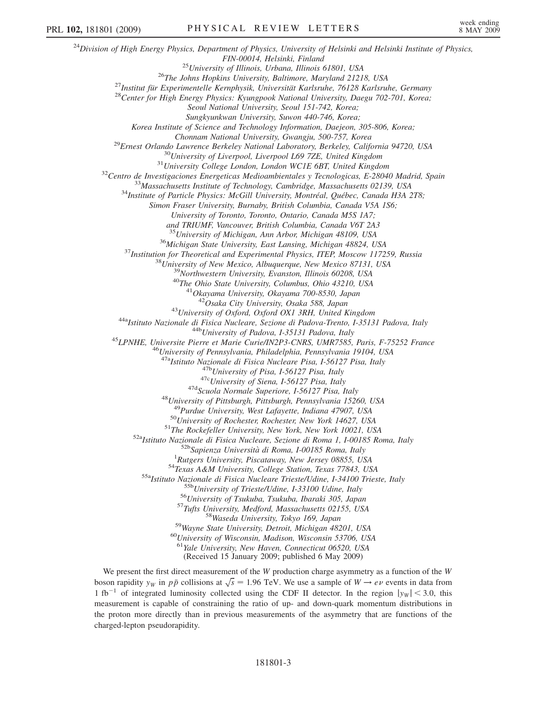$^{24}$ Division of High Energy Physics, Department of Physics, University of Helsinki and Helsinki Institute of Physics, FIN-00014, Helsinki, Finland<br><sup>25</sup>University of Illinois, Urbana, Illinois 61801, USA<br><sup>26</sup>The Johns Hopkins University, Baltimore, Maryland 21218, USA<br><sup>27</sup>Institut für Experimentelle Kernphysik, Universität Karlsruhe, 76128 Seoul National University, Seoul 151-742, Korea; Sungkyunkwan University, Suwon 440-746, Korea; Korea Institute of Science and Technology Information, Daejeon, 305-806, Korea; Chonnam National University, Gwangju, 500-757, Korea<br><sup>29</sup>Ernest Orlando Lawrence Berkeley National Laboratory, Berkeley, California 94720, USA<br><sup>30</sup>University of Liverpool, Liverpool L69 7ZE, United Kingdom<br><sup>31</sup>University C Simon Fraser University, Burnaby, British Columbia, Canada V5A 1S6; University of Toronto, Toronto, Ontario, Canada M5S 1A7; and TRIUMF, Vancouver, British Columbia, Canada V6T 2A3 <sup>35</sup> University of Michigan, Ann Arbor, Michigan 48109, USA<br><sup>36</sup> Michigan State University, East Lansing, Michigan 48824, USA<br><sup>37</sup> Institution for Theoretical and Experimental Physics, ITEP, Moscow 117259, Russia<br><sup>38</sup> Uni <sup>43</sup>University of Oxford, Oxford OX1 3RH, United Kingdom<br><sup>44a</sup>Istituto Nazionale di Fisica Nucleare, Sezione di Padova-Trento, I-35131 Padova, Italy<br><sup>44b</sup>University of Padova, I-35131 Padova, Italy<br><sup>45</sup>LPNHE, Universite P <sup>47a</sup>Istituto Nazionale di Fisica Nucleare Pisa, I-56127 Pisa, Italy<br><sup>47b</sup>University of Pisa, I-56127 Pisa, Italy<br><sup>47c</sup>University of Siena, I-56127 Pisa, Italy<br><sup>47d</sup>Scuola Normale Superiore, I-56127 Pisa, Italy<br><sup>48</sup>Univer <sup>49</sup>Purdue University, West Lafayette, Indiana 47907, USA<br><sup>50</sup>University of Rochester, Rochester, New York 14627, USA<br><sup>51</sup>The Rockefeller University, New York, New York 10021, USA<br><sup>52a</sup>Istituto Nazionale di Fisica Nuclear <sup>54</sup>Texas A&M University, College Station, Texas 77843, USA<br>
<sup>55</sup>aIstituto Nazionale di Fisica Nucleare Trieste/Udine, 1-34100 Trieste, Italy<br>
<sup>55b</sup>University of Trieste/Udine, 1-33100 Udine, Italy<br>
<sup>55b</sup>University of Tsu  $^{61}$ Yale University, New Haven, Connecticut 06520, USA (Received 15 January 2009; published 6 May 2009) We present the first direct measurement of the  $W$  production charge asymmetry as a function of the  $W$ 

boson rapidity  $y_W$  in  $p\bar{p}$  collisions at  $\sqrt{s} = 1.96$  TeV. We use a sample of  $W \to e\nu$  events in data from 1 fb<sup>-1</sup> of integrated luminosity collected using the CDF II detector. In the region  $|y_W| < 3.0$ , this measurement is capable of constraining the ratio of up- and down-quark momentum distributions in the proton more directly than in previous measurements of the asymmetry that are functions of the charged-lepton pseudorapidity.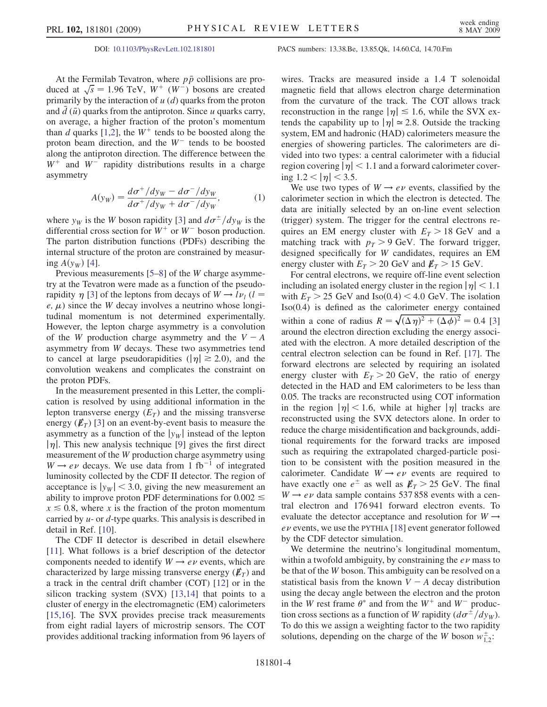At the Fermilab Tevatron, where  $p\bar{p}$  collisions are produced at  $\sqrt{s} = 1.96 \text{ TeV}, W^+ (W^-)$  bosons are created primarily by the interaction of  $u$  (d) quarks from the proton and  $d(\bar{u})$  quarks from the antiproton. Since u quarks carry, on average, a higher fraction of the proton's momentum than d quarks [1,2], the  $W^+$  tends to be boosted along the proton beam direction, and the  $W^-$  tends to be boosted along the antiproton direction. The difference between the  $W^+$  and  $W^-$  rapidity distributions results in a charge asymmetry

$$
A(y_W) = \frac{d\sigma^+/dy_W - d\sigma^-/dy_W}{d\sigma^+/dy_W + d\sigma^-/dy_W},
$$
 (1)

where  $y_W$  is the W boson rapidity [3] and  $d\sigma^{\pm}/dy_W$  is the differential cross section for  $W^+$  or  $W^-$  boson production. The parton distribution functions (PDFs) describing the internal structure of the proton are constrained by measuring  $A(y_W)$  [4].

Previous measurements [5–8] of the W charge asymmetry at the Tevatron were made as a function of the pseudorapidity  $\eta$  [3] of the leptons from decays of  $W \rightarrow l \nu_l$  (l =  $e, \mu$ ) since the W decay involves a neutrino whose longitudinal momentum is not determined experimentally. However, the lepton charge asymmetry is a convolution of the W production charge asymmetry and the  $V - A$ asymmetry from W decays. These two asymmetries tend to cancel at large pseudorapidities ( $|\eta| \ge 2.0$ ), and the convolution weakens and complicates the constraint on the proton PDFs.

In the measurement presented in this Letter, the complication is resolved by using additional information in the lepton transverse energy  $(E_T)$  and the missing transverse energy  $(\not\!E_T)$  [3] on an event-by-event basis to measure the asymmetry as a function of the  $|y_w|$  instead of the lepton  $|\eta|$ . This new analysis technique [9] gives the first direct measurement of the W production charge asymmetry using  $W \rightarrow e\nu$  decays. We use data from 1 fb<sup>-1</sup> of integrated luminosity collected by the CDF II detector. The region of acceptance is  $|y_w|$  < 3.0, giving the new measurement an ability to improve proton PDF determinations for  $0.002 \leq$  $x \le 0.8$ , where x is the fraction of the proton momentum carried by  $u$ - or  $d$ -type quarks. This analysis is described in detail in Ref. [10].

The CDF II detector is described in detail elsewhere [11]. What follows is a brief description of the detector components needed to identify  $W \rightarrow e \nu$  events, which are characterized by large missing transverse energy  $(E_T)$  and a track in the central drift chamber (COT) [12] or in the silicon tracking system (SVX) [13,14] that points to a cluster of energy in the electromagnetic (EM) calorimeters [15,16]. The SVX provides precise track measurements from eight radial layers of microstrip sensors. The COT provides additional tracking information from 96 layers of

## DOI: [10.1103/PhysRevLett.102.181801](http://dx.doi.org/10.1103/PhysRevLett.102.181801) PACS numbers: 13.38.Be, 13.85.Qk, 14.60.Cd, 14.70.Fm

wires. Tracks are measured inside a 1.4 T solenoidal magnetic field that allows electron charge determination from the curvature of the track. The COT allows track reconstruction in the range  $|\eta| \le 1.6$ , while the SVX extends the capability up to  $|\eta| \approx 2.8$ . Outside the tracking system, EM and hadronic (HAD) calorimeters measure the energies of showering particles. The calorimeters are divided into two types: a central calorimeter with a fiducial region covering  $|\eta|$  < 1.1 and a forward calorimeter covering  $1.2 < |\eta| < 3.5$ .

We use two types of  $W \rightarrow e\nu$  events, classified by the calorimeter section in which the electron is detected. The data are initially selected by an on-line event selection (trigger) system. The trigger for the central electrons requires an EM energy cluster with  $E_T > 18$  GeV and a matching track with  $p_T > 9$  GeV. The forward trigger, designed specifically for W candidates, requires an EM energy cluster with  $E_T > 20$  GeV and  $E_T > 15$  GeV.

For central electrons, we require off-line event selection including an isolated energy cluster in the region  $|\eta|$  < 1.1 with  $E_T > 25$  GeV and Iso(0.4) < 4.0 GeV. The isolation Iso(0.4) is defined as the calorimeter energy contained within a cone of radius  $R = \sqrt{(\Delta \eta)^2 + (\Delta \phi)^2} = 0.4$  [3] around the electron direction excluding the energy associated with the electron. A more detailed description of the central electron selection can be found in Ref. [17]. The forward electrons are selected by requiring an isolated energy cluster with  $E_T > 20$  GeV, the ratio of energy detected in the HAD and EM calorimeters to be less than 0.05. The tracks are reconstructed using COT information in the region  $|\eta|$  < 1.6, while at higher  $|\eta|$  tracks are reconstructed using the SVX detectors alone. In order to reduce the charge misidentification and backgrounds, additional requirements for the forward tracks are imposed such as requiring the extrapolated charged-particle position to be consistent with the position measured in the calorimeter. Candidate  $W \rightarrow e\nu$  events are required to have exactly one  $e^{\pm}$  as well as  $\not\hspace{-1.2mm}E_T > 25$  GeV. The final  $W \rightarrow e \nu$  data sample contains 537 858 events with a central electron and 176 941 forward electron events. To evaluate the detector acceptance and resolution for  $W \rightarrow$  $ev$  events, we use the PYTHIA [18] event generator followed by the CDF detector simulation.

We determine the neutrino's longitudinal momentum, within a twofold ambiguity, by constraining the  $e\nu$  mass to be that of the W boson. This ambiguity can be resolved on a statistical basis from the known  $V - A$  decay distribution using the decay angle between the electron and the proton in the W rest frame  $\theta^*$  and from the W<sup>+</sup> and W<sup>-</sup> production cross sections as a function of W rapidity  $(d\sigma^{\pm}/dy_W)$ . To do this we assign a weighting factor to the two rapidity solutions, depending on the charge of the W boson  $w_{1,2}^{\pm}$ :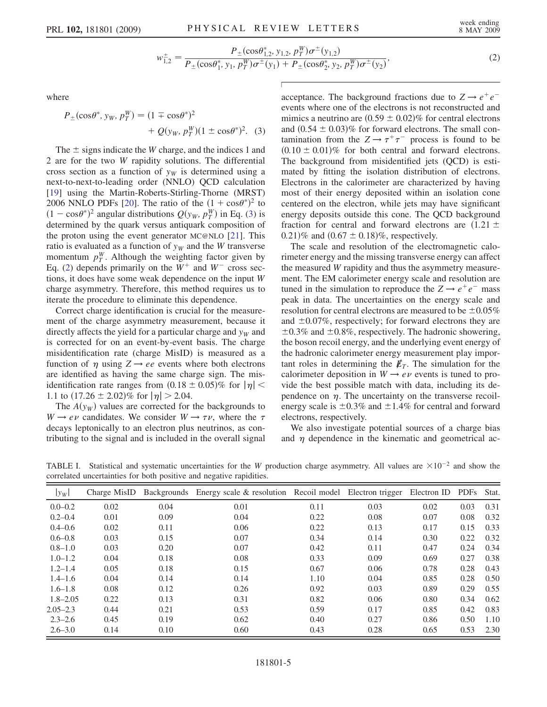$$
w_{1,2}^{\pm} = \frac{P_{\pm}(\cos\theta_{1,2}^*, y_{1,2}, p_T^W)\sigma^{\pm}(y_{1,2})}{P_{\pm}(\cos\theta_1^*, y_1, p_T^W)\sigma^{\pm}(y_1) + P_{\pm}(\cos\theta_2^*, y_2, p_T^W)\sigma^{\pm}(y_2)},
$$
\n(2)

<span id="page-4-2"></span><span id="page-4-1"></span><span id="page-4-0"></span>where

$$
P_{\pm}(\cos\theta^*, y_W, p_T^W) = (1 \mp \cos\theta^*)^2 + Q(y_W, p_T^W)(1 \pm \cos\theta^*)^2.
$$
 (3)

The  $\pm$  signs indicate the W charge, and the indices 1 and 2 are for the two W rapidity solutions. The differential cross section as a function of  $y_W$  is determined using a next-to-next-to-leading order (NNLO) QCD calculation [19] using the Martin-Roberts-Stirling-Thorne (MRST) 2006 NNLO PDFs [20]. The ratio of the  $(1 + \cos\theta^*)^2$  to  $(1 - \cos\theta^*)^2$  angular distributions  $Q(y_W, p_T^W)$  in Eq. [\(3\)](#page-4-0) is determined by the quark versus antiquark composition of the proton using the event generator MC@NLO [21]. This ratio is evaluated as a function of  $y_W$  and the W transverse momentum  $p_T^W$ . Although the weighting factor given by Eq. [\(2\)](#page-4-1) depends primarily on the  $W^+$  and  $W^-$  cross sections, it does have some weak dependence on the input W charge asymmetry. Therefore, this method requires us to iterate the procedure to eliminate this dependence.

Correct charge identification is crucial for the measurement of the charge asymmetry measurement, because it directly affects the yield for a particular charge and  $y<sub>W</sub>$  and is corrected for on an event-by-event basis. The charge misidentification rate (charge MisID) is measured as a function of  $\eta$  using  $Z \rightarrow ee$  events where both electrons are identified as having the same charge sign. The misidentification rate ranges from  $(0.18 \pm 0.05)\%$  for  $|\eta|$  < 1.1 to  $(17.26 \pm 2.02)\%$  for  $|\eta| > 2.04$ .

The  $A(y_W)$  values are corrected for the backgrounds to  $W \rightarrow e\nu$  candidates. We consider  $W \rightarrow \tau \nu$ , where the  $\tau$ decays leptonically to an electron plus neutrinos, as contributing to the signal and is included in the overall signal acceptance. The background fractions due to  $Z \rightarrow e^+e^$ events where one of the electrons is not reconstructed and mimics a neutrino are  $(0.59 \pm 0.02)\%$  for central electrons and  $(0.54 \pm 0.03)\%$  for forward electrons. The small contamination from the  $Z \rightarrow \tau^+\tau^-$  process is found to be  $(0.10 \pm 0.01)\%$  for both central and forward electrons. The background from misidentified jets (QCD) is estimated by fitting the isolation distribution of electrons. Electrons in the calorimeter are characterized by having most of their energy deposited within an isolation cone centered on the electron, while jets may have significant energy deposits outside this cone. The QCD background fraction for central and forward electrons are  $(1.21 \pm$ 0.21)% and  $(0.67 \pm 0.18)$ %, respectively.

The scale and resolution of the electromagnetic calorimeter energy and the missing transverse energy can affect the measured W rapidity and thus the asymmetry measurement. The EM calorimeter energy scale and resolution are tuned in the simulation to reproduce the  $Z \rightarrow e^+e^-$  mass peak in data. The uncertainties on the energy scale and resolution for central electrons are measured to be  $\pm 0.05\%$ and  $\pm 0.07\%$ , respectively; for forward electrons they are  $\pm 0.3\%$  and  $\pm 0.8\%$ , respectively. The hadronic showering, the boson recoil energy, and the underlying event energy of the hadronic calorimeter energy measurement play important roles in determining the  $\not{E}_T$ . The simulation for the calorimeter deposition in  $W \rightarrow e\nu$  events is tuned to provide the best possible match with data, including its dependence on  $\eta$ . The uncertainty on the transverse recoilenergy scale is  $\pm 0.3\%$  and  $\pm 1.4\%$  for central and forward electrons, respectively.

We also investigate potential sources of a charge bias and  $\eta$  dependence in the kinematic and geometrical ac-

TABLE I. Statistical and systematic uncertainties for the W production charge asymmetry. All values are  $\times 10^{-2}$  and show the correlated uncertainties for both positive and negative rapidities.

| $ y_W $      | Charge MisID | Backgrounds | Energy scale & resolution Recoil model Electron trigger |      |      | Electron ID | <b>PDFs</b> | Stat. |
|--------------|--------------|-------------|---------------------------------------------------------|------|------|-------------|-------------|-------|
| $0.0 - 0.2$  | 0.02         | 0.04        | 0.01                                                    | 0.11 | 0.03 | 0.02        | 0.03        | 0.31  |
| $0.2 - 0.4$  | 0.01         | 0.09        | 0.04                                                    | 0.22 | 0.08 | 0.07        | 0.08        | 0.32  |
| $0.4 - 0.6$  | 0.02         | 0.11        | 0.06                                                    | 0.22 | 0.13 | 0.17        | 0.15        | 0.33  |
| $0.6 - 0.8$  | 0.03         | 0.15        | 0.07                                                    | 0.34 | 0.14 | 0.30        | 0.22        | 0.32  |
| $0.8 - 1.0$  | 0.03         | 0.20        | 0.07                                                    | 0.42 | 0.11 | 0.47        | 0.24        | 0.34  |
| $1.0 - 1.2$  | 0.04         | 0.18        | 0.08                                                    | 0.33 | 0.09 | 0.69        | 0.27        | 0.38  |
| $1.2 - 1.4$  | 0.05         | 0.18        | 0.15                                                    | 0.67 | 0.06 | 0.78        | 0.28        | 0.43  |
| $1.4 - 1.6$  | 0.04         | 0.14        | 0.14                                                    | 1.10 | 0.04 | 0.85        | 0.28        | 0.50  |
| $1.6 - 1.8$  | 0.08         | 0.12        | 0.26                                                    | 0.92 | 0.03 | 0.89        | 0.29        | 0.55  |
| $1.8 - 2.05$ | 0.22         | 0.13        | 0.31                                                    | 0.82 | 0.06 | 0.80        | 0.34        | 0.62  |
| $2.05 - 2.3$ | 0.44         | 0.21        | 0.53                                                    | 0.59 | 0.17 | 0.85        | 0.42        | 0.83  |
| $2.3 - 2.6$  | 0.45         | 0.19        | 0.62                                                    | 0.40 | 0.27 | 0.86        | 0.50        | 1.10  |
| $2.6 - 3.0$  | 0.14         | 0.10        | 0.60                                                    | 0.43 | 0.28 | 0.65        | 0.53        | 2.30  |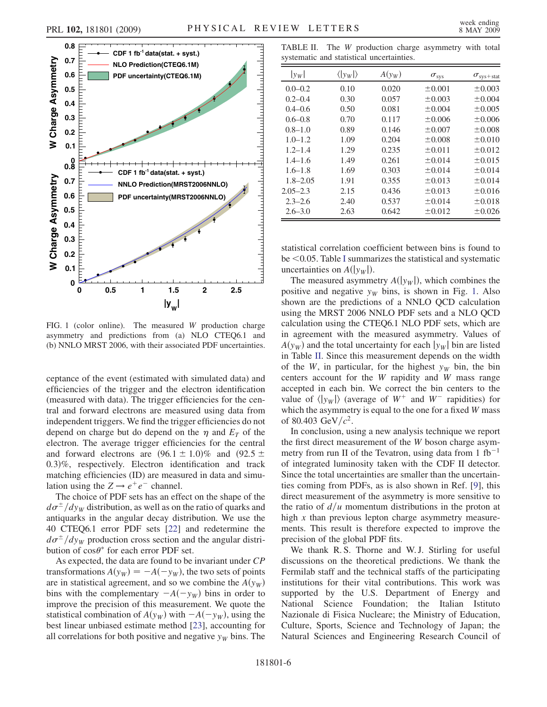

FIG. 1 (color online). The measured W production charge asymmetry and predictions from (a) NLO CTEQ6.1 and (b) NNLO MRST 2006, with their associated PDF uncertainties.

ceptance of the event (estimated with simulated data) and efficiencies of the trigger and the electron identification (measured with data). The trigger efficiencies for the central and forward electrons are measured using data from independent triggers. We find the trigger efficiencies do not depend on charge but do depend on the  $\eta$  and  $E_T$  of the electron. The average trigger efficiencies for the central and forward electrons are  $(96.1 \pm 1.0)\%$  and  $(92.5 \pm 1.0)\%$ <sup>0</sup>:3Þ%, respectively. Electron identification and track matching efficiencies (ID) are measured in data and simulation using the  $Z \rightarrow e^+e^-$  channel.

The choice of PDF sets has an effect on the shape of the  $d\sigma^{\pm}/dy_W$  distribution, as well as on the ratio of quarks and antiquarks in the angular decay distribution. We use the 40 CTEQ6.1 error PDF sets [22] and redetermine the  $d\sigma^{\pm}/dy_W$  production cross section and the angular distribution of  $\cos \theta^*$  for each error PDF set.

As expected, the data are found to be invariant under CP transformations  $A(y_W) = -A(-y_W)$ , the two sets of points are in statistical agreement, and so we combine the  $A(y_W)$ bins with the complementary  $-A(-y_W)$  bins in order to improve the precision of this measurement. We quote the statistical combination of  $A(y_W)$  with  $-A(-y_W)$ , using the best linear unbiased estimate method [23], accounting for all correlations for both positive and negative  $y_W$  bins. The

TABLE II. The W production charge asymmetry with total systematic and statistical uncertainties.

| $ y_W $      | $\langle  y_W  \rangle$ | $A(y_W)$ | $\sigma_{\rm sys}$ | $\sigma_{\rm sys + stat}$ |
|--------------|-------------------------|----------|--------------------|---------------------------|
| $0.0 - 0.2$  | 0.10                    | 0.020    | ±0.001             | $\pm 0.003$               |
| $0.2 - 0.4$  | 0.30                    | 0.057    | $\pm 0.003$        | $\pm 0.004$               |
| $0.4 - 0.6$  | 0.50                    | 0.081    | ±0.004             | ±0.005                    |
| $0.6 - 0.8$  | 0.70                    | 0.117    | ±0.006             | ±0.006                    |
| $0.8 - 1.0$  | 0.89                    | 0.146    | ±0.007             | ±0.008                    |
| $1.0 - 1.2$  | 1.09                    | 0.204    | ±0.008             | ±0.010                    |
| $1.2 - 1.4$  | 1.29                    | 0.235    | ±0.011             | $\pm 0.012$               |
| $1.4 - 1.6$  | 1.49                    | 0.261    | ±0.014             | ±0.015                    |
| $1.6 - 1.8$  | 1.69                    | 0.303    | ±0.014             | $\pm 0.014$               |
| $1.8 - 2.05$ | 1.91                    | 0.355    | ±0.013             | ±0.014                    |
| $2.05 - 2.3$ | 2.15                    | 0.436    | ±0.013             | ±0.016                    |
| $2.3 - 2.6$  | 2.40                    | 0.537    | ±0.014             | ±0.018                    |
| $2.6 - 3.0$  | 2.63                    | 0.642    | $\pm 0.012$        | ±0.026                    |

statistical correlation coefficient between bins is found to be  $\leq$  0.05. Table [I](#page-4-2) summarizes the statistical and systematic uncertainties on  $A(|y_W|)$ .

The measured asymmetry  $A(|y_W|)$ , which combines the positive and negative  $y_W$  bins, is shown in Fig. 1. Also shown are the predictions of a NNLO QCD calculation using the MRST 2006 NNLO PDF sets and a NLO QCD calculation using the CTEQ6.1 NLO PDF sets, which are in agreement with the measured asymmetry. Values of  $A(y_W)$  and the total uncertainty for each  $|y_W|$  bin are listed in Table II. Since this measurement depends on the width of the W, in particular, for the highest  $y_W$  bin, the bin centers account for the W rapidity and W mass range accepted in each bin. We correct the bin centers to the value of  $\langle |y_W| \rangle$  (average of  $W^+$  and  $W^-$  rapidities) for which the asymmetry is equal to the one for a fixed W mass of 80.403 GeV/ $c^2$ .

In conclusion, using a new analysis technique we report the first direct measurement of the W boson charge asymmetry from run II of the Tevatron, using data from 1 fb<sup>-1</sup> of integrated luminosity taken with the CDF II detector. Since the total uncertainties are smaller than the uncertainties coming from PDFs, as is also shown in Ref. [9], this direct measurement of the asymmetry is more sensitive to the ratio of  $d/u$  momentum distributions in the proton at high x than previous lepton charge asymmetry measurements. This result is therefore expected to improve the precision of the global PDF fits.

We thank R.S. Thorne and W.J. Stirling for useful discussions on the theoretical predictions. We thank the Fermilab staff and the technical staffs of the participating institutions for their vital contributions. This work was supported by the U.S. Department of Energy and National Science Foundation; the Italian Istituto Nazionale di Fisica Nucleare; the Ministry of Education, Culture, Sports, Science and Technology of Japan; the Natural Sciences and Engineering Research Council of